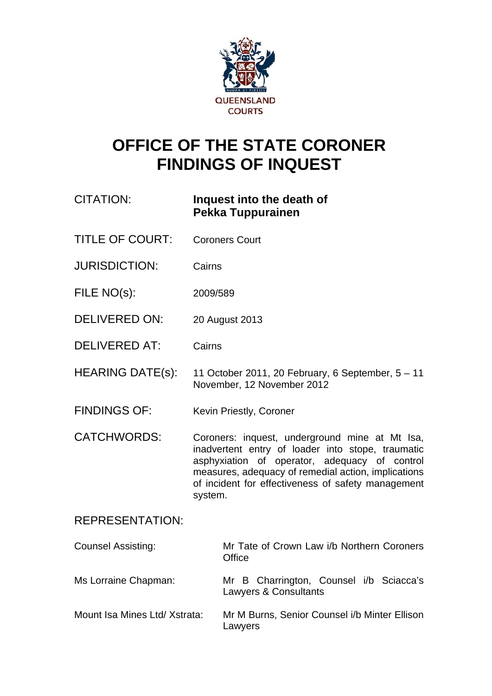

# **OFFICE OF THE STATE CORONER FINDINGS OF INQUEST**

# CITATION: **Inquest into the death of Pekka Tuppurainen**

- TITLE OF COURT: Coroners Court
- JURISDICTION: Cairns
- FILE NO(s): 2009/589
- DELIVERED ON: 20 August 2013
- DELIVERED AT: Cairns
- HEARING DATE(s): 11 October 2011, 20 February, 6 September, 5 11 November, 12 November 2012
- FINDINGS OF: Kevin Priestly, Coroner
- CATCHWORDS: Coroners: inquest, underground mine at Mt Isa, inadvertent entry of loader into stope, traumatic asphyxiation of operator, adequacy of control measures, adequacy of remedial action, implications of incident for effectiveness of safety management system.

# REPRESENTATION:

| <b>Counsel Assisting:</b>     | Mr Tate of Crown Law i/b Northern Coroners<br>Office             |
|-------------------------------|------------------------------------------------------------------|
| Ms Lorraine Chapman:          | Mr B Charrington, Counsel i/b Sciacca's<br>Lawyers & Consultants |
| Mount Isa Mines Ltd/ Xstrata: | Mr M Burns, Senior Counsel i/b Minter Ellison<br>Lawyers         |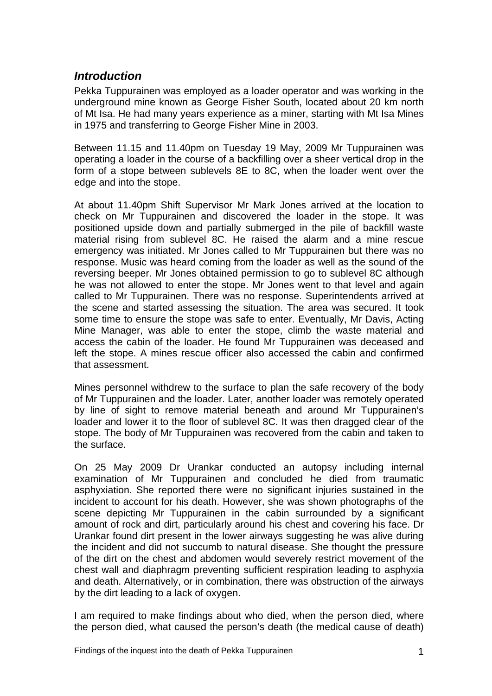# *Introduction*

Pekka Tuppurainen was employed as a loader operator and was working in the underground mine known as George Fisher South, located about 20 km north of Mt Isa. He had many years experience as a miner, starting with Mt Isa Mines in 1975 and transferring to George Fisher Mine in 2003.

Between 11.15 and 11.40pm on Tuesday 19 May, 2009 Mr Tuppurainen was operating a loader in the course of a backfilling over a sheer vertical drop in the form of a stope between sublevels 8E to 8C, when the loader went over the edge and into the stope.

At about 11.40pm Shift Supervisor Mr Mark Jones arrived at the location to check on Mr Tuppurainen and discovered the loader in the stope. It was positioned upside down and partially submerged in the pile of backfill waste material rising from sublevel 8C. He raised the alarm and a mine rescue emergency was initiated. Mr Jones called to Mr Tuppurainen but there was no response. Music was heard coming from the loader as well as the sound of the reversing beeper. Mr Jones obtained permission to go to sublevel 8C although he was not allowed to enter the stope. Mr Jones went to that level and again called to Mr Tuppurainen. There was no response. Superintendents arrived at the scene and started assessing the situation. The area was secured. It took some time to ensure the stope was safe to enter. Eventually, Mr Davis, Acting Mine Manager, was able to enter the stope, climb the waste material and access the cabin of the loader. He found Mr Tuppurainen was deceased and left the stope. A mines rescue officer also accessed the cabin and confirmed that assessment.

Mines personnel withdrew to the surface to plan the safe recovery of the body of Mr Tuppurainen and the loader. Later, another loader was remotely operated by line of sight to remove material beneath and around Mr Tuppurainen's loader and lower it to the floor of sublevel 8C. It was then dragged clear of the stope. The body of Mr Tuppurainen was recovered from the cabin and taken to the surface.

On 25 May 2009 Dr Urankar conducted an autopsy including internal examination of Mr Tuppurainen and concluded he died from traumatic asphyxiation. She reported there were no significant injuries sustained in the incident to account for his death. However, she was shown photographs of the scene depicting Mr Tuppurainen in the cabin surrounded by a significant amount of rock and dirt, particularly around his chest and covering his face. Dr Urankar found dirt present in the lower airways suggesting he was alive during the incident and did not succumb to natural disease. She thought the pressure of the dirt on the chest and abdomen would severely restrict movement of the chest wall and diaphragm preventing sufficient respiration leading to asphyxia and death. Alternatively, or in combination, there was obstruction of the airways by the dirt leading to a lack of oxygen.

I am required to make findings about who died, when the person died, where the person died, what caused the person's death (the medical cause of death)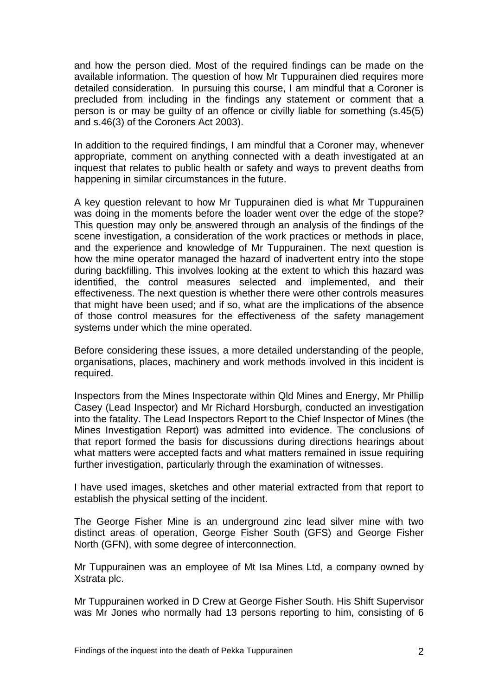and how the person died. Most of the required findings can be made on the available information. The question of how Mr Tuppurainen died requires more detailed consideration. In pursuing this course, I am mindful that a Coroner is precluded from including in the findings any statement or comment that a person is or may be guilty of an offence or civilly liable for something (s.45(5) and s.46(3) of the Coroners Act 2003).

In addition to the required findings, I am mindful that a Coroner may, whenever appropriate, comment on anything connected with a death investigated at an inquest that relates to public health or safety and ways to prevent deaths from happening in similar circumstances in the future.

A key question relevant to how Mr Tuppurainen died is what Mr Tuppurainen was doing in the moments before the loader went over the edge of the stope? This question may only be answered through an analysis of the findings of the scene investigation, a consideration of the work practices or methods in place, and the experience and knowledge of Mr Tuppurainen. The next question is how the mine operator managed the hazard of inadvertent entry into the stope during backfilling. This involves looking at the extent to which this hazard was identified, the control measures selected and implemented, and their effectiveness. The next question is whether there were other controls measures that might have been used; and if so, what are the implications of the absence of those control measures for the effectiveness of the safety management systems under which the mine operated.

Before considering these issues, a more detailed understanding of the people, organisations, places, machinery and work methods involved in this incident is required.

Inspectors from the Mines Inspectorate within Qld Mines and Energy, Mr Phillip Casey (Lead Inspector) and Mr Richard Horsburgh, conducted an investigation into the fatality. The Lead Inspectors Report to the Chief Inspector of Mines (the Mines Investigation Report) was admitted into evidence. The conclusions of that report formed the basis for discussions during directions hearings about what matters were accepted facts and what matters remained in issue requiring further investigation, particularly through the examination of witnesses.

I have used images, sketches and other material extracted from that report to establish the physical setting of the incident.

The George Fisher Mine is an underground zinc lead silver mine with two distinct areas of operation, George Fisher South (GFS) and George Fisher North (GFN), with some degree of interconnection.

Mr Tuppurainen was an employee of Mt Isa Mines Ltd, a company owned by Xstrata plc.

Mr Tuppurainen worked in D Crew at George Fisher South. His Shift Supervisor was Mr Jones who normally had 13 persons reporting to him, consisting of 6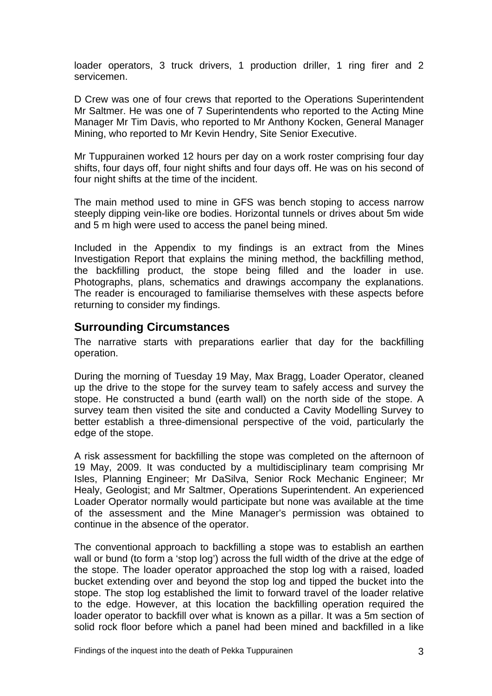loader operators, 3 truck drivers, 1 production driller, 1 ring firer and 2 servicemen.

D Crew was one of four crews that reported to the Operations Superintendent Mr Saltmer. He was one of 7 Superintendents who reported to the Acting Mine Manager Mr Tim Davis, who reported to Mr Anthony Kocken, General Manager Mining, who reported to Mr Kevin Hendry, Site Senior Executive.

Mr Tuppurainen worked 12 hours per day on a work roster comprising four day shifts, four days off, four night shifts and four days off. He was on his second of four night shifts at the time of the incident.

The main method used to mine in GFS was bench stoping to access narrow steeply dipping vein-like ore bodies. Horizontal tunnels or drives about 5m wide and 5 m high were used to access the panel being mined.

Included in the Appendix to my findings is an extract from the Mines Investigation Report that explains the mining method, the backfilling method, the backfilling product, the stope being filled and the loader in use. Photographs, plans, schematics and drawings accompany the explanations. The reader is encouraged to familiarise themselves with these aspects before returning to consider my findings.

#### **Surrounding Circumstances**

The narrative starts with preparations earlier that day for the backfilling operation.

During the morning of Tuesday 19 May, Max Bragg, Loader Operator, cleaned up the drive to the stope for the survey team to safely access and survey the stope. He constructed a bund (earth wall) on the north side of the stope. A survey team then visited the site and conducted a Cavity Modelling Survey to better establish a three-dimensional perspective of the void, particularly the edge of the stope.

A risk assessment for backfilling the stope was completed on the afternoon of 19 May, 2009. It was conducted by a multidisciplinary team comprising Mr Isles, Planning Engineer; Mr DaSilva, Senior Rock Mechanic Engineer; Mr Healy, Geologist; and Mr Saltmer, Operations Superintendent. An experienced Loader Operator normally would participate but none was available at the time of the assessment and the Mine Manager's permission was obtained to continue in the absence of the operator.

The conventional approach to backfilling a stope was to establish an earthen wall or bund (to form a 'stop log') across the full width of the drive at the edge of the stope. The loader operator approached the stop log with a raised, loaded bucket extending over and beyond the stop log and tipped the bucket into the stope. The stop log established the limit to forward travel of the loader relative to the edge. However, at this location the backfilling operation required the loader operator to backfill over what is known as a pillar. It was a 5m section of solid rock floor before which a panel had been mined and backfilled in a like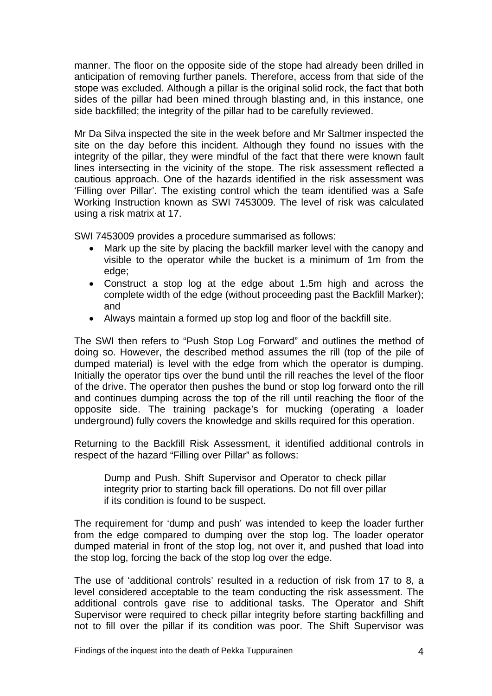manner. The floor on the opposite side of the stope had already been drilled in anticipation of removing further panels. Therefore, access from that side of the stope was excluded. Although a pillar is the original solid rock, the fact that both sides of the pillar had been mined through blasting and, in this instance, one side backfilled; the integrity of the pillar had to be carefully reviewed.

Mr Da Silva inspected the site in the week before and Mr Saltmer inspected the site on the day before this incident. Although they found no issues with the integrity of the pillar, they were mindful of the fact that there were known fault lines intersecting in the vicinity of the stope. The risk assessment reflected a cautious approach. One of the hazards identified in the risk assessment was 'Filling over Pillar'. The existing control which the team identified was a Safe Working Instruction known as SWI 7453009. The level of risk was calculated using a risk matrix at 17.

SWI 7453009 provides a procedure summarised as follows:

- Mark up the site by placing the backfill marker level with the canopy and visible to the operator while the bucket is a minimum of 1m from the edge;
- Construct a stop log at the edge about 1.5m high and across the complete width of the edge (without proceeding past the Backfill Marker); and
- Always maintain a formed up stop log and floor of the backfill site.

The SWI then refers to "Push Stop Log Forward" and outlines the method of doing so. However, the described method assumes the rill (top of the pile of dumped material) is level with the edge from which the operator is dumping. Initially the operator tips over the bund until the rill reaches the level of the floor of the drive. The operator then pushes the bund or stop log forward onto the rill and continues dumping across the top of the rill until reaching the floor of the opposite side. The training package's for mucking (operating a loader underground) fully covers the knowledge and skills required for this operation.

Returning to the Backfill Risk Assessment, it identified additional controls in respect of the hazard "Filling over Pillar" as follows:

Dump and Push. Shift Supervisor and Operator to check pillar integrity prior to starting back fill operations. Do not fill over pillar if its condition is found to be suspect.

The requirement for 'dump and push' was intended to keep the loader further from the edge compared to dumping over the stop log. The loader operator dumped material in front of the stop log, not over it, and pushed that load into the stop log, forcing the back of the stop log over the edge.

The use of 'additional controls' resulted in a reduction of risk from 17 to 8, a level considered acceptable to the team conducting the risk assessment. The additional controls gave rise to additional tasks. The Operator and Shift Supervisor were required to check pillar integrity before starting backfilling and not to fill over the pillar if its condition was poor. The Shift Supervisor was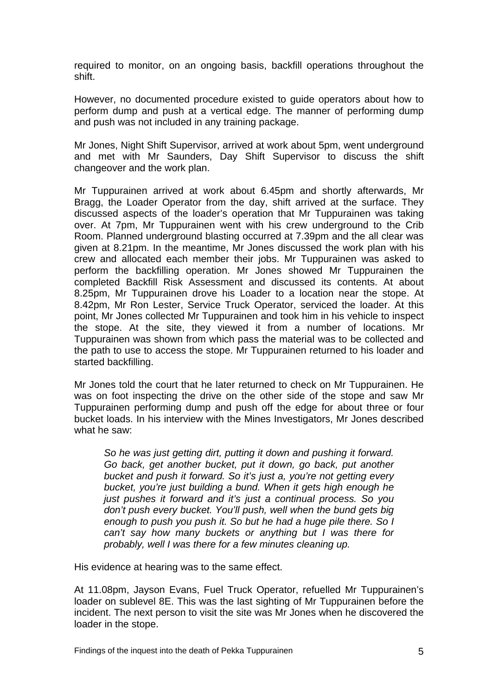required to monitor, on an ongoing basis, backfill operations throughout the shift.

However, no documented procedure existed to guide operators about how to perform dump and push at a vertical edge. The manner of performing dump and push was not included in any training package.

Mr Jones, Night Shift Supervisor, arrived at work about 5pm, went underground and met with Mr Saunders, Day Shift Supervisor to discuss the shift changeover and the work plan.

Mr Tuppurainen arrived at work about 6.45pm and shortly afterwards, Mr Bragg, the Loader Operator from the day, shift arrived at the surface. They discussed aspects of the loader's operation that Mr Tuppurainen was taking over. At 7pm, Mr Tuppurainen went with his crew underground to the Crib Room. Planned underground blasting occurred at 7.39pm and the all clear was given at 8.21pm. In the meantime, Mr Jones discussed the work plan with his crew and allocated each member their jobs. Mr Tuppurainen was asked to perform the backfilling operation. Mr Jones showed Mr Tuppurainen the completed Backfill Risk Assessment and discussed its contents. At about 8.25pm, Mr Tuppurainen drove his Loader to a location near the stope. At 8.42pm, Mr Ron Lester, Service Truck Operator, serviced the loader. At this point, Mr Jones collected Mr Tuppurainen and took him in his vehicle to inspect the stope. At the site, they viewed it from a number of locations. Mr Tuppurainen was shown from which pass the material was to be collected and the path to use to access the stope. Mr Tuppurainen returned to his loader and started backfilling.

Mr Jones told the court that he later returned to check on Mr Tuppurainen. He was on foot inspecting the drive on the other side of the stope and saw Mr Tuppurainen performing dump and push off the edge for about three or four bucket loads. In his interview with the Mines Investigators, Mr Jones described what he saw:

*So he was just getting dirt, putting it down and pushing it forward. Go back, get another bucket, put it down, go back, put another bucket and push it forward. So it's just a, you're not getting every bucket, you're just building a bund. When it gets high enough he just pushes it forward and it's just a continual process. So you*  don't push every bucket. You'll push, well when the bund gets big *enough to push you push it. So but he had a huge pile there. So I can't say how many buckets or anything but I was there for probably, well I was there for a few minutes cleaning up.*

His evidence at hearing was to the same effect.

At 11.08pm, Jayson Evans, Fuel Truck Operator, refuelled Mr Tuppurainen's loader on sublevel 8E. This was the last sighting of Mr Tuppurainen before the incident. The next person to visit the site was Mr Jones when he discovered the loader in the stope.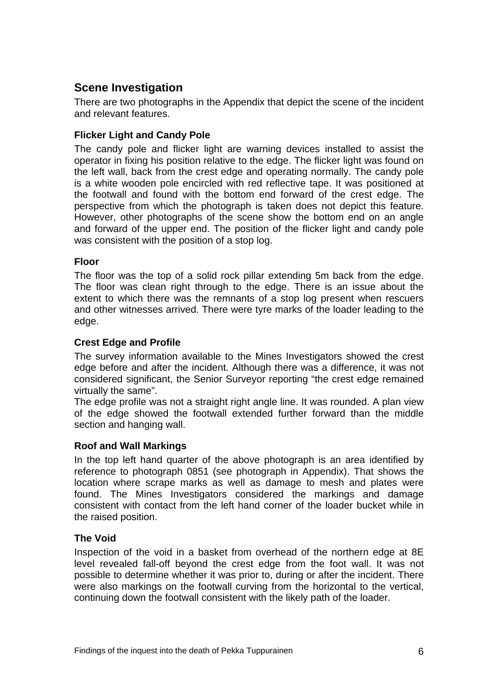# **Scene Investigation**

There are two photographs in the Appendix that depict the scene of the incident and relevant features.

#### **Flicker Light and Candy Pole**

The candy pole and flicker light are warning devices installed to assist the operator in fixing his position relative to the edge. The flicker light was found on the left wall, back from the crest edge and operating normally. The candy pole is a white wooden pole encircled with red reflective tape. It was positioned at the footwall and found with the bottom end forward of the crest edge. The perspective from which the photograph is taken does not depict this feature. However, other photographs of the scene show the bottom end on an angle and forward of the upper end. The position of the flicker light and candy pole was consistent with the position of a stop log.

#### **Floor**

The floor was the top of a solid rock pillar extending 5m back from the edge. The floor was clean right through to the edge. There is an issue about the extent to which there was the remnants of a stop log present when rescuers and other witnesses arrived. There were tyre marks of the loader leading to the edge.

#### **Crest Edge and Profile**

The survey information available to the Mines Investigators showed the crest edge before and after the incident. Although there was a difference, it was not considered significant, the Senior Surveyor reporting "the crest edge remained virtually the same".

The edge profile was not a straight right angle line. It was rounded. A plan view of the edge showed the footwall extended further forward than the middle section and hanging wall.

#### **Roof and Wall Markings**

In the top left hand quarter of the above photograph is an area identified by reference to photograph 0851 (see photograph in Appendix). That shows the location where scrape marks as well as damage to mesh and plates were found. The Mines Investigators considered the markings and damage consistent with contact from the left hand corner of the loader bucket while in the raised position.

#### **The Void**

Inspection of the void in a basket from overhead of the northern edge at 8E level revealed fall-off beyond the crest edge from the foot wall. It was not possible to determine whether it was prior to, during or after the incident. There were also markings on the footwall curving from the horizontal to the vertical, continuing down the footwall consistent with the likely path of the loader.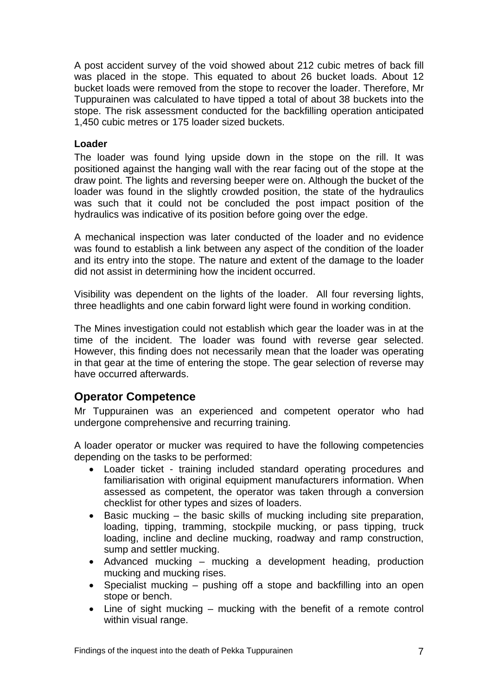A post accident survey of the void showed about 212 cubic metres of back fill was placed in the stope. This equated to about 26 bucket loads. About 12 bucket loads were removed from the stope to recover the loader. Therefore, Mr Tuppurainen was calculated to have tipped a total of about 38 buckets into the stope. The risk assessment conducted for the backfilling operation anticipated 1,450 cubic metres or 175 loader sized buckets.

#### **Loader**

The loader was found lying upside down in the stope on the rill. It was positioned against the hanging wall with the rear facing out of the stope at the draw point. The lights and reversing beeper were on. Although the bucket of the loader was found in the slightly crowded position, the state of the hydraulics was such that it could not be concluded the post impact position of the hydraulics was indicative of its position before going over the edge.

A mechanical inspection was later conducted of the loader and no evidence was found to establish a link between any aspect of the condition of the loader and its entry into the stope. The nature and extent of the damage to the loader did not assist in determining how the incident occurred.

Visibility was dependent on the lights of the loader. All four reversing lights, three headlights and one cabin forward light were found in working condition.

The Mines investigation could not establish which gear the loader was in at the time of the incident. The loader was found with reverse gear selected. However, this finding does not necessarily mean that the loader was operating in that gear at the time of entering the stope. The gear selection of reverse may have occurred afterwards.

# **Operator Competence**

Mr Tuppurainen was an experienced and competent operator who had undergone comprehensive and recurring training.

A loader operator or mucker was required to have the following competencies depending on the tasks to be performed:

- Loader ticket training included standard operating procedures and familiarisation with original equipment manufacturers information. When assessed as competent, the operator was taken through a conversion checklist for other types and sizes of loaders.
- $\bullet$  Basic mucking the basic skills of mucking including site preparation, loading, tipping, tramming, stockpile mucking, or pass tipping, truck loading, incline and decline mucking, roadway and ramp construction, sump and settler mucking.
- Advanced mucking mucking a development heading, production mucking and mucking rises.
- Specialist mucking pushing off a stope and backfilling into an open stope or bench.
- Line of sight mucking mucking with the benefit of a remote control within visual range.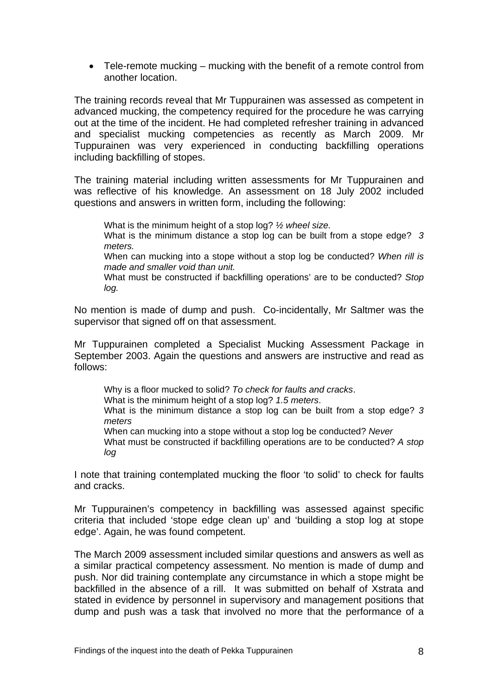Tele-remote mucking – mucking with the benefit of a remote control from another location.

The training records reveal that Mr Tuppurainen was assessed as competent in advanced mucking, the competency required for the procedure he was carrying out at the time of the incident. He had completed refresher training in advanced and specialist mucking competencies as recently as March 2009. Mr Tuppurainen was very experienced in conducting backfilling operations including backfilling of stopes.

The training material including written assessments for Mr Tuppurainen and was reflective of his knowledge. An assessment on 18 July 2002 included questions and answers in written form, including the following:

What is the minimum height of a stop log? *½ wheel size.*

What is the minimum distance a stop log can be built from a stope edge? *3 meters.* 

When can mucking into a stope without a stop log be conducted? *When rill is made and smaller void than unit.* 

What must be constructed if backfilling operations' are to be conducted? *Stop log.*

No mention is made of dump and push. Co-incidentally, Mr Saltmer was the supervisor that signed off on that assessment.

Mr Tuppurainen completed a Specialist Mucking Assessment Package in September 2003. Again the questions and answers are instructive and read as follows:

Why is a floor mucked to solid? *To check for faults and cracks*. What is the minimum height of a stop log? *1.5 meters*. What is the minimum distance a stop log can be built from a stop edge? *3 meters*  When can mucking into a stope without a stop log be conducted? *Never* 

What must be constructed if backfilling operations are to be conducted? *A stop log* 

I note that training contemplated mucking the floor 'to solid' to check for faults and cracks.

Mr Tuppurainen's competency in backfilling was assessed against specific criteria that included 'stope edge clean up' and 'building a stop log at stope edge'. Again, he was found competent.

The March 2009 assessment included similar questions and answers as well as a similar practical competency assessment. No mention is made of dump and push. Nor did training contemplate any circumstance in which a stope might be backfilled in the absence of a rill. It was submitted on behalf of Xstrata and stated in evidence by personnel in supervisory and management positions that dump and push was a task that involved no more that the performance of a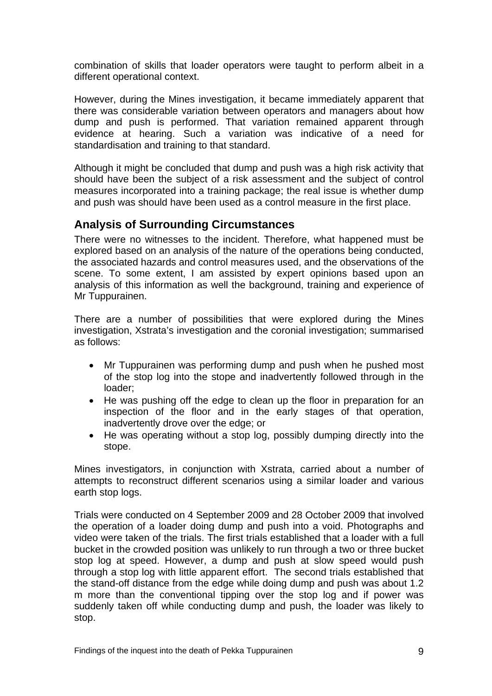combination of skills that loader operators were taught to perform albeit in a different operational context.

However, during the Mines investigation, it became immediately apparent that there was considerable variation between operators and managers about how dump and push is performed. That variation remained apparent through evidence at hearing. Such a variation was indicative of a need for standardisation and training to that standard.

Although it might be concluded that dump and push was a high risk activity that should have been the subject of a risk assessment and the subject of control measures incorporated into a training package; the real issue is whether dump and push was should have been used as a control measure in the first place.

# **Analysis of Surrounding Circumstances**

There were no witnesses to the incident. Therefore, what happened must be explored based on an analysis of the nature of the operations being conducted, the associated hazards and control measures used, and the observations of the scene. To some extent, I am assisted by expert opinions based upon an analysis of this information as well the background, training and experience of Mr Tuppurainen.

There are a number of possibilities that were explored during the Mines investigation, Xstrata's investigation and the coronial investigation; summarised as follows:

- Mr Tuppurainen was performing dump and push when he pushed most of the stop log into the stope and inadvertently followed through in the loader;
- He was pushing off the edge to clean up the floor in preparation for an inspection of the floor and in the early stages of that operation, inadvertently drove over the edge; or
- He was operating without a stop log, possibly dumping directly into the stope.

Mines investigators, in conjunction with Xstrata, carried about a number of attempts to reconstruct different scenarios using a similar loader and various earth stop logs.

Trials were conducted on 4 September 2009 and 28 October 2009 that involved the operation of a loader doing dump and push into a void. Photographs and video were taken of the trials. The first trials established that a loader with a full bucket in the crowded position was unlikely to run through a two or three bucket stop log at speed. However, a dump and push at slow speed would push through a stop log with little apparent effort. The second trials established that the stand-off distance from the edge while doing dump and push was about 1.2 m more than the conventional tipping over the stop log and if power was suddenly taken off while conducting dump and push, the loader was likely to stop.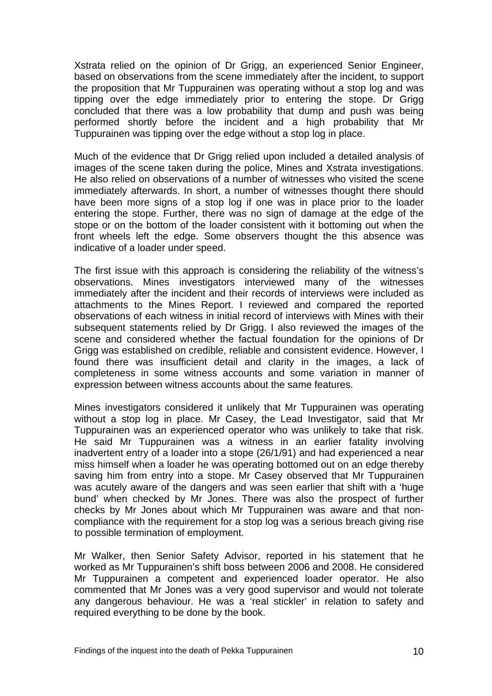Xstrata relied on the opinion of Dr Grigg, an experienced Senior Engineer, based on observations from the scene immediately after the incident, to support the proposition that Mr Tuppurainen was operating without a stop log and was tipping over the edge immediately prior to entering the stope. Dr Grigg concluded that there was a low probability that dump and push was being performed shortly before the incident and a high probability that Mr Tuppurainen was tipping over the edge without a stop log in place.

Much of the evidence that Dr Grigg relied upon included a detailed analysis of images of the scene taken during the police, Mines and Xstrata investigations. He also relied on observations of a number of witnesses who visited the scene immediately afterwards. In short, a number of witnesses thought there should have been more signs of a stop log if one was in place prior to the loader entering the stope. Further, there was no sign of damage at the edge of the stope or on the bottom of the loader consistent with it bottoming out when the front wheels left the edge. Some observers thought the this absence was indicative of a loader under speed.

The first issue with this approach is considering the reliability of the witness's observations. Mines investigators interviewed many of the witnesses immediately after the incident and their records of interviews were included as attachments to the Mines Report. I reviewed and compared the reported observations of each witness in initial record of interviews with Mines with their subsequent statements relied by Dr Grigg. I also reviewed the images of the scene and considered whether the factual foundation for the opinions of Dr Grigg was established on credible, reliable and consistent evidence. However, I found there was insufficient detail and clarity in the images, a lack of completeness in some witness accounts and some variation in manner of expression between witness accounts about the same features.

Mines investigators considered it unlikely that Mr Tuppurainen was operating without a stop log in place. Mr Casey, the Lead Investigator, said that Mr Tuppurainen was an experienced operator who was unlikely to take that risk. He said Mr Tuppurainen was a witness in an earlier fatality involving inadvertent entry of a loader into a stope (26/1/91) and had experienced a near miss himself when a loader he was operating bottomed out on an edge thereby saving him from entry into a stope. Mr Casey observed that Mr Tuppurainen was acutely aware of the dangers and was seen earlier that shift with a 'huge bund' when checked by Mr Jones. There was also the prospect of further checks by Mr Jones about which Mr Tuppurainen was aware and that noncompliance with the requirement for a stop log was a serious breach giving rise to possible termination of employment.

Mr Walker, then Senior Safety Advisor, reported in his statement that he worked as Mr Tuppurainen's shift boss between 2006 and 2008. He considered Mr Tuppurainen a competent and experienced loader operator. He also commented that Mr Jones was a very good supervisor and would not tolerate any dangerous behaviour. He was a 'real stickler' in relation to safety and required everything to be done by the book.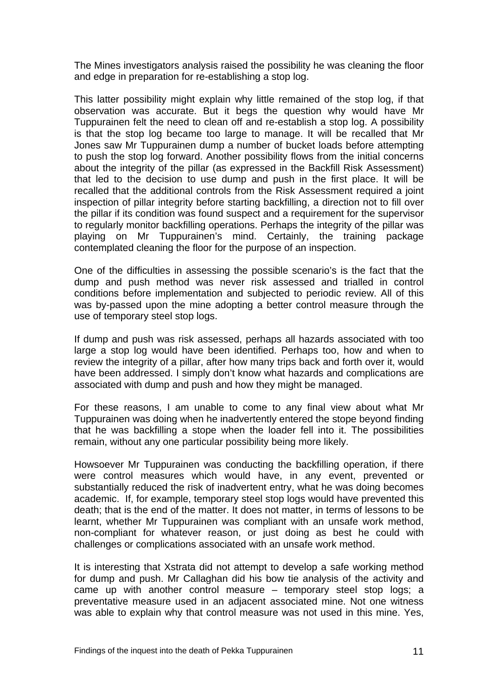The Mines investigators analysis raised the possibility he was cleaning the floor and edge in preparation for re-establishing a stop log.

This latter possibility might explain why little remained of the stop log, if that observation was accurate. But it begs the question why would have Mr Tuppurainen felt the need to clean off and re-establish a stop log. A possibility is that the stop log became too large to manage. It will be recalled that Mr Jones saw Mr Tuppurainen dump a number of bucket loads before attempting to push the stop log forward. Another possibility flows from the initial concerns about the integrity of the pillar (as expressed in the Backfill Risk Assessment) that led to the decision to use dump and push in the first place. It will be recalled that the additional controls from the Risk Assessment required a joint inspection of pillar integrity before starting backfilling, a direction not to fill over the pillar if its condition was found suspect and a requirement for the supervisor to regularly monitor backfilling operations. Perhaps the integrity of the pillar was playing on Mr Tuppurainen's mind. Certainly, the training package contemplated cleaning the floor for the purpose of an inspection.

One of the difficulties in assessing the possible scenario's is the fact that the dump and push method was never risk assessed and trialled in control conditions before implementation and subjected to periodic review. All of this was by-passed upon the mine adopting a better control measure through the use of temporary steel stop logs.

If dump and push was risk assessed, perhaps all hazards associated with too large a stop log would have been identified. Perhaps too, how and when to review the integrity of a pillar, after how many trips back and forth over it, would have been addressed. I simply don't know what hazards and complications are associated with dump and push and how they might be managed.

For these reasons, I am unable to come to any final view about what Mr Tuppurainen was doing when he inadvertently entered the stope beyond finding that he was backfilling a stope when the loader fell into it. The possibilities remain, without any one particular possibility being more likely.

Howsoever Mr Tuppurainen was conducting the backfilling operation, if there were control measures which would have, in any event, prevented or substantially reduced the risk of inadvertent entry, what he was doing becomes academic. If, for example, temporary steel stop logs would have prevented this death; that is the end of the matter. It does not matter, in terms of lessons to be learnt, whether Mr Tuppurainen was compliant with an unsafe work method, non-compliant for whatever reason, or just doing as best he could with challenges or complications associated with an unsafe work method.

It is interesting that Xstrata did not attempt to develop a safe working method for dump and push. Mr Callaghan did his bow tie analysis of the activity and came up with another control measure – temporary steel stop logs; a preventative measure used in an adjacent associated mine. Not one witness was able to explain why that control measure was not used in this mine. Yes,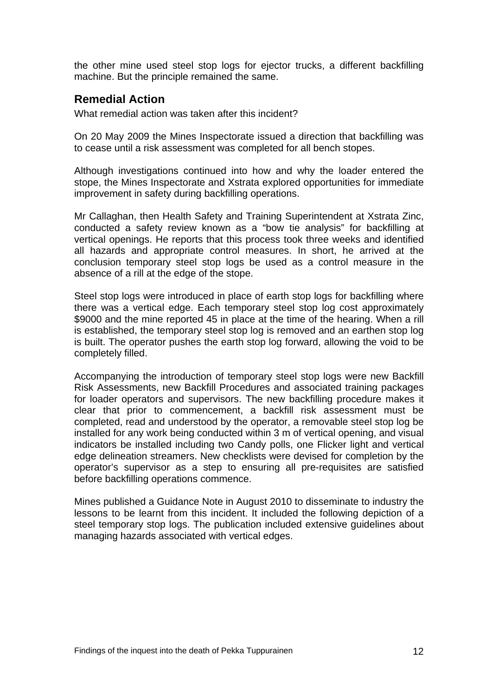the other mine used steel stop logs for ejector trucks, a different backfilling machine. But the principle remained the same.

# **Remedial Action**

What remedial action was taken after this incident?

On 20 May 2009 the Mines Inspectorate issued a direction that backfilling was to cease until a risk assessment was completed for all bench stopes.

Although investigations continued into how and why the loader entered the stope, the Mines Inspectorate and Xstrata explored opportunities for immediate improvement in safety during backfilling operations.

Mr Callaghan, then Health Safety and Training Superintendent at Xstrata Zinc, conducted a safety review known as a "bow tie analysis" for backfilling at vertical openings. He reports that this process took three weeks and identified all hazards and appropriate control measures. In short, he arrived at the conclusion temporary steel stop logs be used as a control measure in the absence of a rill at the edge of the stope.

Steel stop logs were introduced in place of earth stop logs for backfilling where there was a vertical edge. Each temporary steel stop log cost approximately \$9000 and the mine reported 45 in place at the time of the hearing. When a rill is established, the temporary steel stop log is removed and an earthen stop log is built. The operator pushes the earth stop log forward, allowing the void to be completely filled.

Accompanying the introduction of temporary steel stop logs were new Backfill Risk Assessments, new Backfill Procedures and associated training packages for loader operators and supervisors. The new backfilling procedure makes it clear that prior to commencement, a backfill risk assessment must be completed, read and understood by the operator, a removable steel stop log be installed for any work being conducted within 3 m of vertical opening, and visual indicators be installed including two Candy polls, one Flicker light and vertical edge delineation streamers. New checklists were devised for completion by the operator's supervisor as a step to ensuring all pre-requisites are satisfied before backfilling operations commence.

Mines published a Guidance Note in August 2010 to disseminate to industry the lessons to be learnt from this incident. It included the following depiction of a steel temporary stop logs. The publication included extensive guidelines about managing hazards associated with vertical edges.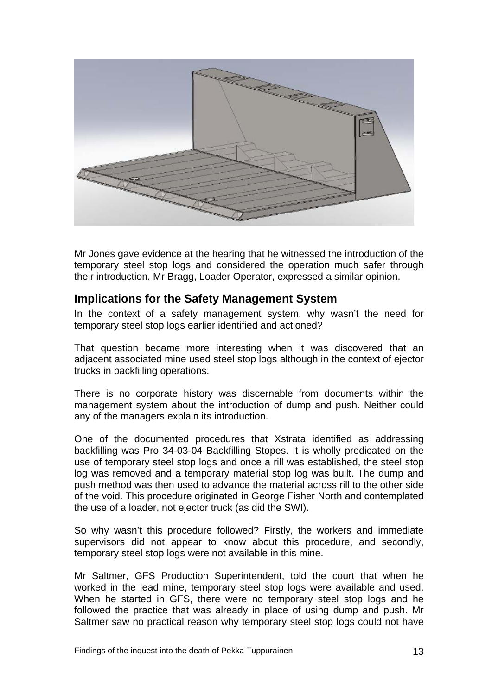

Mr Jones gave evidence at the hearing that he witnessed the introduction of the temporary steel stop logs and considered the operation much safer through their introduction. Mr Bragg, Loader Operator, expressed a similar opinion.

# **Implications for the Safety Management System**

In the context of a safety management system, why wasn't the need for temporary steel stop logs earlier identified and actioned?

That question became more interesting when it was discovered that an adiacent associated mine used steel stop logs although in the context of ejector trucks in backfilling operations.

There is no corporate history was discernable from documents within the management system about the introduction of dump and push. Neither could any of the managers explain its introduction.

One of the documented procedures that Xstrata identified as addressing backfilling was Pro 34-03-04 Backfilling Stopes. It is wholly predicated on the use of temporary steel stop logs and once a rill was established, the steel stop log was removed and a temporary material stop log was built. The dump and push method was then used to advance the material across rill to the other side of the void. This procedure originated in George Fisher North and contemplated the use of a loader, not ejector truck (as did the SWI).

So why wasn't this procedure followed? Firstly, the workers and immediate supervisors did not appear to know about this procedure, and secondly, temporary steel stop logs were not available in this mine.

Mr Saltmer, GFS Production Superintendent, told the court that when he worked in the lead mine, temporary steel stop logs were available and used. When he started in GFS, there were no temporary steel stop logs and he followed the practice that was already in place of using dump and push. Mr Saltmer saw no practical reason why temporary steel stop logs could not have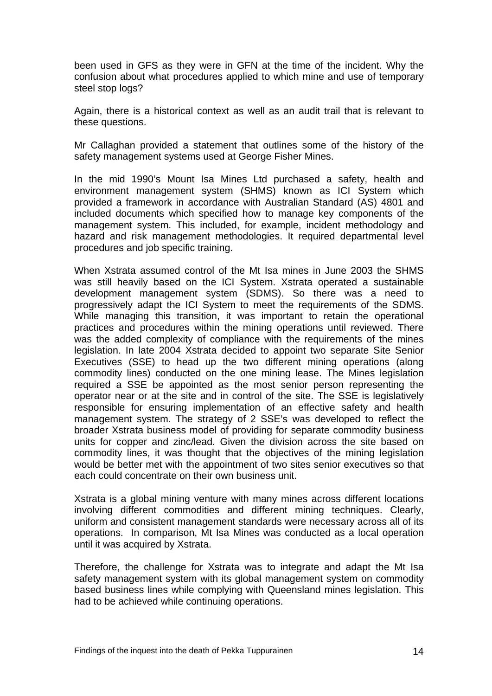been used in GFS as they were in GFN at the time of the incident. Why the confusion about what procedures applied to which mine and use of temporary steel stop logs?

Again, there is a historical context as well as an audit trail that is relevant to these questions.

Mr Callaghan provided a statement that outlines some of the history of the safety management systems used at George Fisher Mines.

In the mid 1990's Mount Isa Mines Ltd purchased a safety, health and environment management system (SHMS) known as ICI System which provided a framework in accordance with Australian Standard (AS) 4801 and included documents which specified how to manage key components of the management system. This included, for example, incident methodology and hazard and risk management methodologies. It required departmental level procedures and job specific training.

When Xstrata assumed control of the Mt Isa mines in June 2003 the SHMS was still heavily based on the ICI System. Xstrata operated a sustainable development management system (SDMS). So there was a need to progressively adapt the ICI System to meet the requirements of the SDMS. While managing this transition, it was important to retain the operational practices and procedures within the mining operations until reviewed. There was the added complexity of compliance with the requirements of the mines legislation. In late 2004 Xstrata decided to appoint two separate Site Senior Executives (SSE) to head up the two different mining operations (along commodity lines) conducted on the one mining lease. The Mines legislation required a SSE be appointed as the most senior person representing the operator near or at the site and in control of the site. The SSE is legislatively responsible for ensuring implementation of an effective safety and health management system. The strategy of 2 SSE's was developed to reflect the broader Xstrata business model of providing for separate commodity business units for copper and zinc/lead. Given the division across the site based on commodity lines, it was thought that the objectives of the mining legislation would be better met with the appointment of two sites senior executives so that each could concentrate on their own business unit.

Xstrata is a global mining venture with many mines across different locations involving different commodities and different mining techniques. Clearly, uniform and consistent management standards were necessary across all of its operations. In comparison, Mt Isa Mines was conducted as a local operation until it was acquired by Xstrata.

Therefore, the challenge for Xstrata was to integrate and adapt the Mt Isa safety management system with its global management system on commodity based business lines while complying with Queensland mines legislation. This had to be achieved while continuing operations.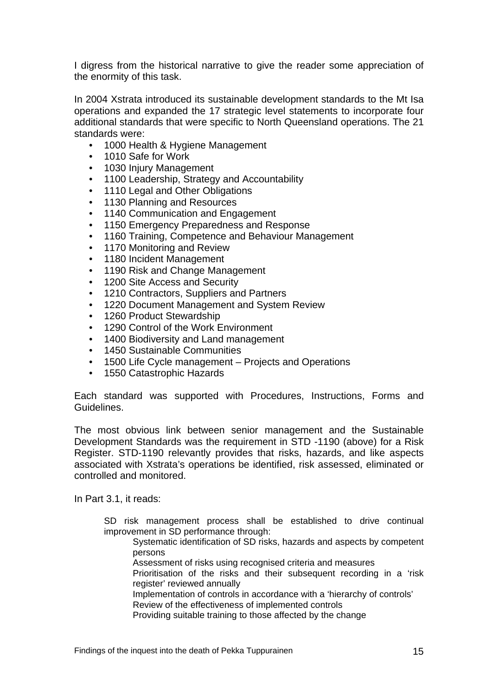I digress from the historical narrative to give the reader some appreciation of the enormity of this task.

In 2004 Xstrata introduced its sustainable development standards to the Mt Isa operations and expanded the 17 strategic level statements to incorporate four additional standards that were specific to North Queensland operations. The 21 standards were:

- 1000 Health & Hygiene Management
- 1010 Safe for Work
- 1030 Injury Management
- 1100 Leadership, Strategy and Accountability
- 1110 Legal and Other Obligations
- 1130 Planning and Resources
- 1140 Communication and Engagement
- 1150 Emergency Preparedness and Response
- 1160 Training, Competence and Behaviour Management
- 1170 Monitoring and Review
- 1180 Incident Management
- 1190 Risk and Change Management
- 1200 Site Access and Security
- 1210 Contractors, Suppliers and Partners
- 1220 Document Management and System Review
- 1260 Product Stewardship
- 1290 Control of the Work Environment
- 1400 Biodiversity and Land management
- 1450 Sustainable Communities
- 1500 Life Cycle management Projects and Operations
- 1550 Catastrophic Hazards

Each standard was supported with Procedures, Instructions, Forms and Guidelines.

The most obvious link between senior management and the Sustainable Development Standards was the requirement in STD -1190 (above) for a Risk Register. STD-1190 relevantly provides that risks, hazards, and like aspects associated with Xstrata's operations be identified, risk assessed, eliminated or controlled and monitored.

In Part 3.1, it reads:

SD risk management process shall be established to drive continual improvement in SD performance through:

Systematic identification of SD risks, hazards and aspects by competent persons

Assessment of risks using recognised criteria and measures

Prioritisation of the risks and their subsequent recording in a 'risk register' reviewed annually

Implementation of controls in accordance with a 'hierarchy of controls' Review of the effectiveness of implemented controls

Providing suitable training to those affected by the change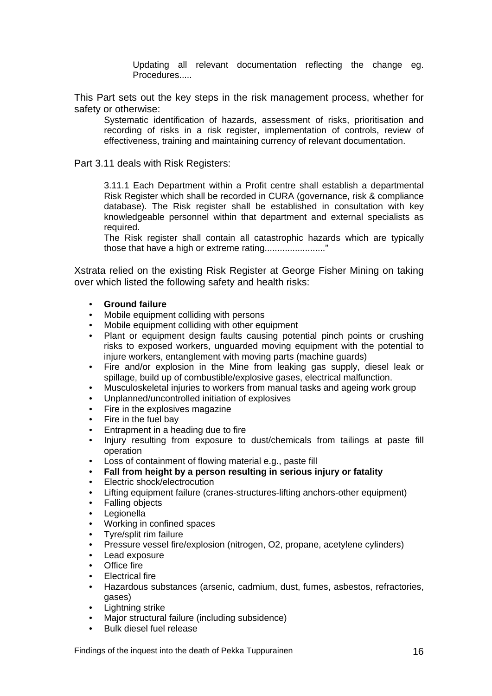Updating all relevant documentation reflecting the change eg. Procedures.....

This Part sets out the key steps in the risk management process, whether for safety or otherwise:

Systematic identification of hazards, assessment of risks, prioritisation and recording of risks in a risk register, implementation of controls, review of effectiveness, training and maintaining currency of relevant documentation.

Part 3.11 deals with Risk Registers:

3.11.1 Each Department within a Profit centre shall establish a departmental Risk Register which shall be recorded in CURA (governance, risk & compliance database). The Risk register shall be established in consultation with key knowledgeable personnel within that department and external specialists as required.

The Risk register shall contain all catastrophic hazards which are typically those that have a high or extreme rating........................"

Xstrata relied on the existing Risk Register at George Fisher Mining on taking over which listed the following safety and health risks:

- **Ground failure**
- Mobile equipment colliding with persons
- Mobile equipment colliding with other equipment
- Plant or equipment design faults causing potential pinch points or crushing risks to exposed workers, unguarded moving equipment with the potential to injure workers, entanglement with moving parts (machine guards)
- Fire and/or explosion in the Mine from leaking gas supply, diesel leak or spillage, build up of combustible/explosive gases, electrical malfunction.
- Musculoskeletal injuries to workers from manual tasks and ageing work group
- Unplanned/uncontrolled initiation of explosives
- Fire in the explosives magazine
- Fire in the fuel bay
- Entrapment in a heading due to fire
- Injury resulting from exposure to dust/chemicals from tailings at paste fill operation
- Loss of containment of flowing material e.g., paste fill
- **Fall from height by a person resulting in serious injury or fatality**
- Electric shock/electrocution
- Lifting equipment failure (cranes-structures-lifting anchors-other equipment)
- **Falling objects**
- **Legionella**
- Working in confined spaces
- Tyre/split rim failure
- Pressure vessel fire/explosion (nitrogen, O2, propane, acetylene cylinders)
- Lead exposure
- **Office** fire
- Electrical fire
- Hazardous substances (arsenic, cadmium, dust, fumes, asbestos, refractories, gases)
- Lightning strike
- Major structural failure (including subsidence)
- Bulk diesel fuel release

Findings of the inquest into the death of Pekka Tuppurainen 16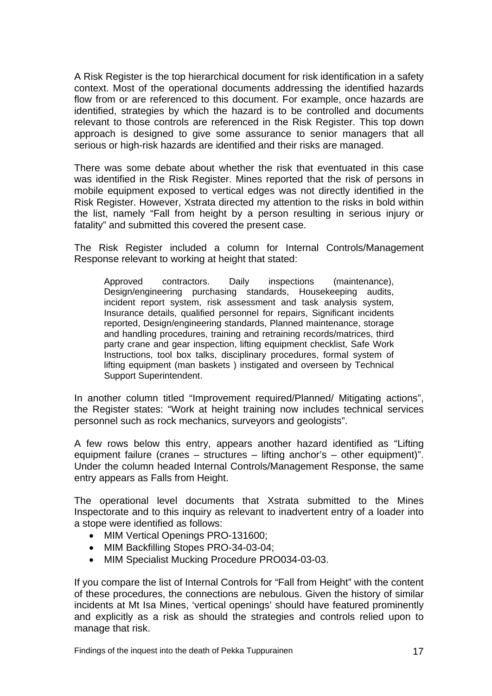A Risk Register is the top hierarchical document for risk identification in a safety context. Most of the operational documents addressing the identified hazards flow from or are referenced to this document. For example, once hazards are identified, strategies by which the hazard is to be controlled and documents relevant to those controls are referenced in the Risk Register. This top down approach is designed to give some assurance to senior managers that all serious or high-risk hazards are identified and their risks are managed.

There was some debate about whether the risk that eventuated in this case was identified in the Risk Register. Mines reported that the risk of persons in mobile equipment exposed to vertical edges was not directly identified in the Risk Register. However, Xstrata directed my attention to the risks in bold within the list, namely "Fall from height by a person resulting in serious injury or fatality" and submitted this covered the present case.

The Risk Register included a column for Internal Controls/Management Response relevant to working at height that stated:

Approved contractors. Daily inspections (maintenance), Design/engineering purchasing standards, Housekeeping audits, incident report system, risk assessment and task analysis system, Insurance details, qualified personnel for repairs, Significant incidents reported, Design/engineering standards, Planned maintenance, storage and handling procedures, training and retraining records/matrices, third party crane and gear inspection, lifting equipment checklist, Safe Work Instructions, tool box talks, disciplinary procedures, formal system of lifting equipment (man baskets ) instigated and overseen by Technical Support Superintendent.

In another column titled "Improvement required/Planned/ Mitigating actions", the Register states: "Work at height training now includes technical services personnel such as rock mechanics, surveyors and geologists".

A few rows below this entry, appears another hazard identified as "Lifting equipment failure (cranes – structures – lifting anchor's – other equipment)". Under the column headed Internal Controls/Management Response, the same entry appears as Falls from Height.

The operational level documents that Xstrata submitted to the Mines Inspectorate and to this inquiry as relevant to inadvertent entry of a loader into a stope were identified as follows:

- MIM Vertical Openings PRO-131600;
- MIM Backfilling Stopes PRO-34-03-04;
- MIM Specialist Mucking Procedure PRO034-03-03.

If you compare the list of Internal Controls for "Fall from Height" with the content of these procedures, the connections are nebulous. Given the history of similar incidents at Mt Isa Mines, 'vertical openings' should have featured prominently and explicitly as a risk as should the strategies and controls relied upon to manage that risk.

Findings of the inquest into the death of Pekka Tuppurainen 17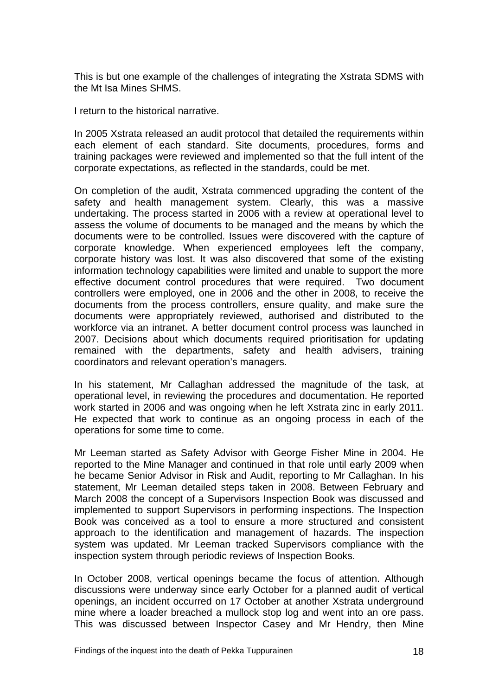This is but one example of the challenges of integrating the Xstrata SDMS with the Mt Isa Mines SHMS.

I return to the historical narrative.

In 2005 Xstrata released an audit protocol that detailed the requirements within each element of each standard. Site documents, procedures, forms and training packages were reviewed and implemented so that the full intent of the corporate expectations, as reflected in the standards, could be met.

On completion of the audit, Xstrata commenced upgrading the content of the safety and health management system. Clearly, this was a massive undertaking. The process started in 2006 with a review at operational level to assess the volume of documents to be managed and the means by which the documents were to be controlled. Issues were discovered with the capture of corporate knowledge. When experienced employees left the company, corporate history was lost. It was also discovered that some of the existing information technology capabilities were limited and unable to support the more effective document control procedures that were required. Two document controllers were employed, one in 2006 and the other in 2008, to receive the documents from the process controllers, ensure quality, and make sure the documents were appropriately reviewed, authorised and distributed to the workforce via an intranet. A better document control process was launched in 2007. Decisions about which documents required prioritisation for updating remained with the departments, safety and health advisers, training coordinators and relevant operation's managers.

In his statement, Mr Callaghan addressed the magnitude of the task, at operational level, in reviewing the procedures and documentation. He reported work started in 2006 and was ongoing when he left Xstrata zinc in early 2011. He expected that work to continue as an ongoing process in each of the operations for some time to come.

Mr Leeman started as Safety Advisor with George Fisher Mine in 2004. He reported to the Mine Manager and continued in that role until early 2009 when he became Senior Advisor in Risk and Audit, reporting to Mr Callaghan. In his statement, Mr Leeman detailed steps taken in 2008. Between February and March 2008 the concept of a Supervisors Inspection Book was discussed and implemented to support Supervisors in performing inspections. The Inspection Book was conceived as a tool to ensure a more structured and consistent approach to the identification and management of hazards. The inspection system was updated. Mr Leeman tracked Supervisors compliance with the inspection system through periodic reviews of Inspection Books.

In October 2008, vertical openings became the focus of attention. Although discussions were underway since early October for a planned audit of vertical openings, an incident occurred on 17 October at another Xstrata underground mine where a loader breached a mullock stop log and went into an ore pass. This was discussed between Inspector Casey and Mr Hendry, then Mine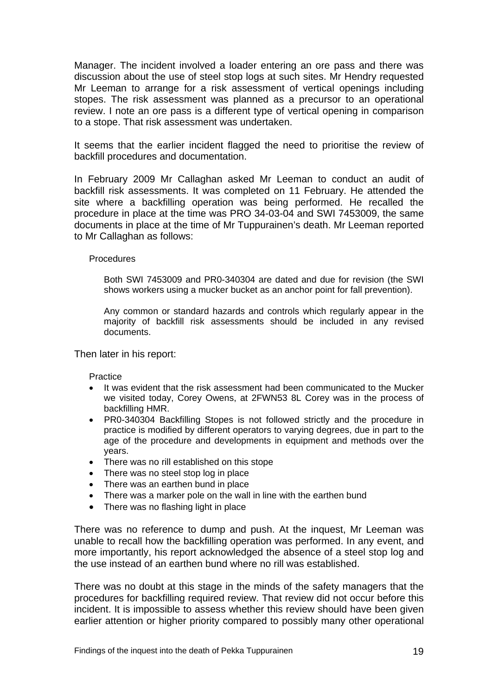Manager. The incident involved a loader entering an ore pass and there was discussion about the use of steel stop logs at such sites. Mr Hendry requested Mr Leeman to arrange for a risk assessment of vertical openings including stopes. The risk assessment was planned as a precursor to an operational review. I note an ore pass is a different type of vertical opening in comparison to a stope. That risk assessment was undertaken.

It seems that the earlier incident flagged the need to prioritise the review of backfill procedures and documentation.

In February 2009 Mr Callaghan asked Mr Leeman to conduct an audit of backfill risk assessments. It was completed on 11 February. He attended the site where a backfilling operation was being performed. He recalled the procedure in place at the time was PRO 34-03-04 and SWI 7453009, the same documents in place at the time of Mr Tuppurainen's death. Mr Leeman reported to Mr Callaghan as follows:

#### Procedures

Both SWI 7453009 and PR0-340304 are dated and due for revision (the SWI shows workers using a mucker bucket as an anchor point for fall prevention).

Any common or standard hazards and controls which regularly appear in the majority of backfill risk assessments should be included in any revised documents.

Then later in his report:

Practice

- It was evident that the risk assessment had been communicated to the Mucker we visited today, Corey Owens, at 2FWN53 8L Corey was in the process of backfilling HMR.
- PR0-340304 Backfilling Stopes is not followed strictly and the procedure in practice is modified by different operators to varying degrees, due in part to the age of the procedure and developments in equipment and methods over the years.
- There was no rill established on this stope
- There was no steel stop log in place
- There was an earthen bund in place
- There was a marker pole on the wall in line with the earthen bund
- There was no flashing light in place

There was no reference to dump and push. At the inquest, Mr Leeman was unable to recall how the backfilling operation was performed. In any event, and more importantly, his report acknowledged the absence of a steel stop log and the use instead of an earthen bund where no rill was established.

There was no doubt at this stage in the minds of the safety managers that the procedures for backfilling required review. That review did not occur before this incident. It is impossible to assess whether this review should have been given earlier attention or higher priority compared to possibly many other operational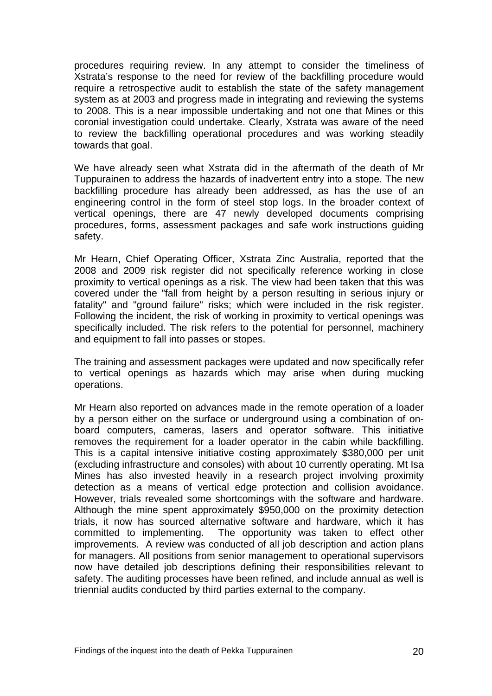procedures requiring review. In any attempt to consider the timeliness of Xstrata's response to the need for review of the backfilling procedure would require a retrospective audit to establish the state of the safety management system as at 2003 and progress made in integrating and reviewing the systems to 2008. This is a near impossible undertaking and not one that Mines or this coronial investigation could undertake. Clearly, Xstrata was aware of the need to review the backfilling operational procedures and was working steadily towards that goal.

We have already seen what Xstrata did in the aftermath of the death of Mr Tuppurainen to address the hazards of inadvertent entry into a stope. The new backfilling procedure has already been addressed, as has the use of an engineering control in the form of steel stop logs. In the broader context of vertical openings, there are 47 newly developed documents comprising procedures, forms, assessment packages and safe work instructions guiding safety.

Mr Hearn, Chief Operating Officer, Xstrata Zinc Australia, reported that the 2008 and 2009 risk register did not specifically reference working in close proximity to vertical openings as a risk. The view had been taken that this was covered under the "fall from height by a person resulting in serious injury or fatality" and "ground failure" risks; which were included in the risk register. Following the incident, the risk of working in proximity to vertical openings was specifically included. The risk refers to the potential for personnel, machinery and equipment to fall into passes or stopes.

The training and assessment packages were updated and now specifically refer to vertical openings as hazards which may arise when during mucking operations.

Mr Hearn also reported on advances made in the remote operation of a loader by a person either on the surface or underground using a combination of onboard computers, cameras, lasers and operator software. This initiative removes the requirement for a loader operator in the cabin while backfilling. This is a capital intensive initiative costing approximately \$380,000 per unit (excluding infrastructure and consoles) with about 10 currently operating. Mt Isa Mines has also invested heavily in a research project involving proximity detection as a means of vertical edge protection and collision avoidance. However, trials revealed some shortcomings with the software and hardware. Although the mine spent approximately \$950,000 on the proximity detection trials, it now has sourced alternative software and hardware, which it has committed to implementing. The opportunity was taken to effect other improvements. A review was conducted of all job description and action plans for managers. All positions from senior management to operational supervisors now have detailed job descriptions defining their responsibilities relevant to safety. The auditing processes have been refined, and include annual as well is triennial audits conducted by third parties external to the company.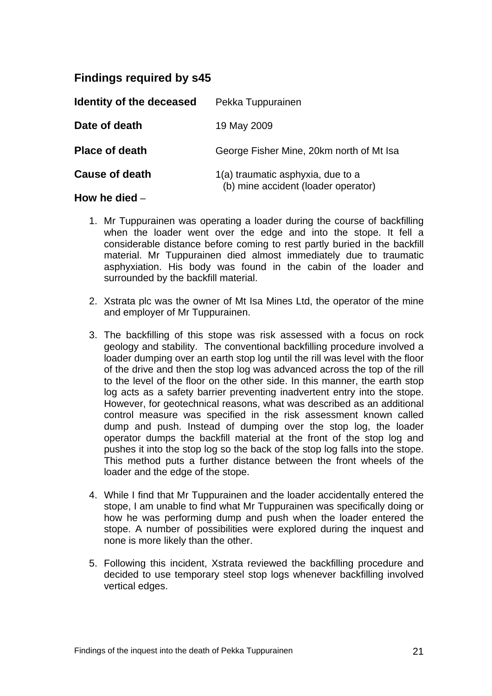# **Findings required by s45**

| Identity of the deceased | Pekka Tuppurainen                                                        |
|--------------------------|--------------------------------------------------------------------------|
| Date of death            | 19 May 2009                                                              |
| <b>Place of death</b>    | George Fisher Mine, 20km north of Mt Isa                                 |
| <b>Cause of death</b>    | 1(a) traumatic asphyxia, due to a<br>(b) mine accident (loader operator) |

#### **How he died** –

- 1. Mr Tuppurainen was operating a loader during the course of backfilling when the loader went over the edge and into the stope. It fell a considerable distance before coming to rest partly buried in the backfill material. Mr Tuppurainen died almost immediately due to traumatic asphyxiation. His body was found in the cabin of the loader and surrounded by the backfill material.
- 2. Xstrata plc was the owner of Mt Isa Mines Ltd, the operator of the mine and employer of Mr Tuppurainen.
- 3. The backfilling of this stope was risk assessed with a focus on rock geology and stability. The conventional backfilling procedure involved a loader dumping over an earth stop log until the rill was level with the floor of the drive and then the stop log was advanced across the top of the rill to the level of the floor on the other side. In this manner, the earth stop log acts as a safety barrier preventing inadvertent entry into the stope. However, for geotechnical reasons, what was described as an additional control measure was specified in the risk assessment known called dump and push. Instead of dumping over the stop log, the loader operator dumps the backfill material at the front of the stop log and pushes it into the stop log so the back of the stop log falls into the stope. This method puts a further distance between the front wheels of the loader and the edge of the stope.
- 4. While I find that Mr Tuppurainen and the loader accidentally entered the stope, I am unable to find what Mr Tuppurainen was specifically doing or how he was performing dump and push when the loader entered the stope. A number of possibilities were explored during the inquest and none is more likely than the other.
- 5. Following this incident, Xstrata reviewed the backfilling procedure and decided to use temporary steel stop logs whenever backfilling involved vertical edges.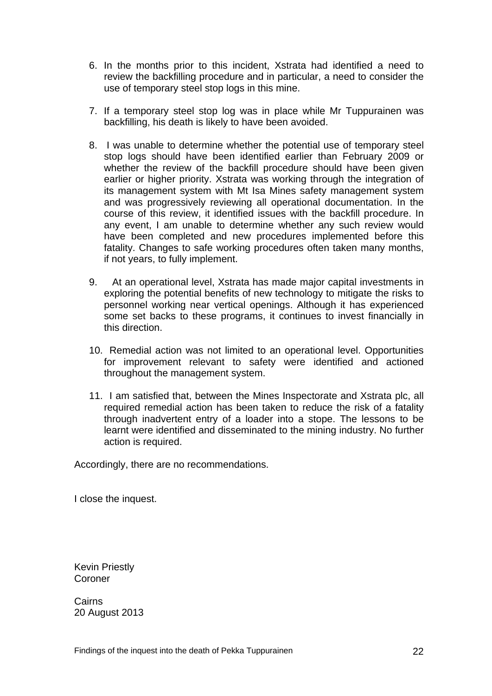- 6. In the months prior to this incident, Xstrata had identified a need to review the backfilling procedure and in particular, a need to consider the use of temporary steel stop logs in this mine.
- 7. If a temporary steel stop log was in place while Mr Tuppurainen was backfilling, his death is likely to have been avoided.
- 8. I was unable to determine whether the potential use of temporary steel stop logs should have been identified earlier than February 2009 or whether the review of the backfill procedure should have been given earlier or higher priority. Xstrata was working through the integration of its management system with Mt Isa Mines safety management system and was progressively reviewing all operational documentation. In the course of this review, it identified issues with the backfill procedure. In any event, I am unable to determine whether any such review would have been completed and new procedures implemented before this fatality. Changes to safe working procedures often taken many months, if not years, to fully implement.
- 9. At an operational level, Xstrata has made major capital investments in exploring the potential benefits of new technology to mitigate the risks to personnel working near vertical openings. Although it has experienced some set backs to these programs, it continues to invest financially in this direction.
- 10. Remedial action was not limited to an operational level. Opportunities for improvement relevant to safety were identified and actioned throughout the management system.
- 11. I am satisfied that, between the Mines Inspectorate and Xstrata plc, all required remedial action has been taken to reduce the risk of a fatality through inadvertent entry of a loader into a stope. The lessons to be learnt were identified and disseminated to the mining industry. No further action is required.

Accordingly, there are no recommendations.

I close the inquest.

Kevin Priestly Coroner

**Cairns** 20 August 2013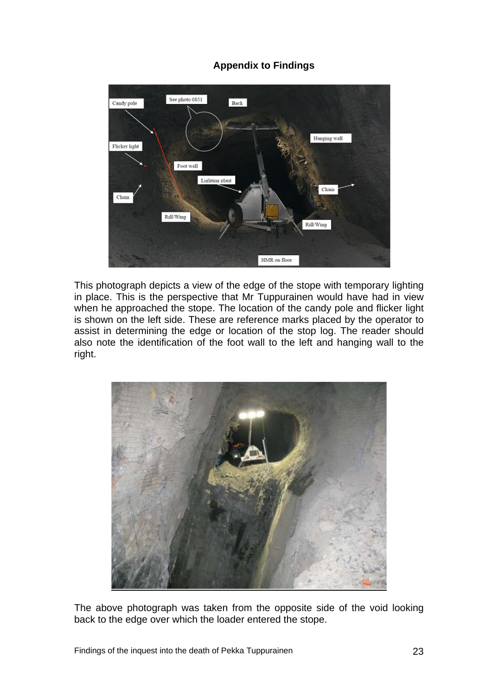#### **Appendix to Findings**



This photograph depicts a view of the edge of the stope with temporary lighting in place. This is the perspective that Mr Tuppurainen would have had in view when he approached the stope. The location of the candy pole and flicker light is shown on the left side. These are reference marks placed by the operator to assist in determining the edge or location of the stop log. The reader should also note the identification of the foot wall to the left and hanging wall to the right.



The above photograph was taken from the opposite side of the void looking back to the edge over which the loader entered the stope.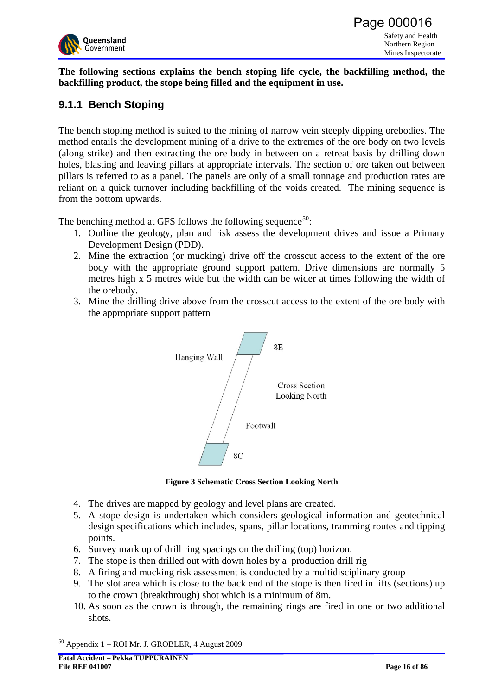<span id="page-24-0"></span>

**The following sections explains the bench stoping life cycle, the backfilling method, the backfilling product, the stope being filled and the equipment in use.**

# **9.1.1 Bench Stoping**

The bench stoping method is suited to the mining of narrow vein steeply dipping orebodies. The method entails the development mining of a drive to the extremes of the ore body on two levels (along strike) and then extracting the ore body in between on a retreat basis by drilling down holes, blasting and leaving pillars at appropriate intervals. The section of ore taken out between pillars is referred to as a panel. The panels are only of a small tonnage and production rates are reliant on a quick turnover including backfilling of the voids created. The mining sequence is from the bottom upwards.

The benching method at GFS follows the following sequence<sup>[5](#page-24-0)0</sup>:

- 1. Outline the geology, plan and risk assess the development drives and issue a Primary Development Design (PDD).
- 2. Mine the extraction (or mucking) drive off the crosscut access to the extent of the ore body with the appropriate ground support pattern. Drive dimensions are normally 5 metres high x 5 metres wide but the width can be wider at times following the width of the orebody.
- 3. Mine the drilling drive above from the crosscut access to the extent of the ore body with the appropriate support pattern



**Figure 3 Schematic Cross Section Looking North** 

- 4. The drives are mapped by geology and level plans are created.
- 5. A stope design is undertaken which considers geological information and geotechnical design specifications which includes, spans, pillar locations, tramming routes and tipping points.
- 6. Survey mark up of drill ring spacings on the drilling (top) horizon.
- 7. The stope is then drilled out with down holes by a production drill rig
- 8. A firing and mucking risk assessment is conducted by a multidisciplinary group
- 9. The slot area which is close to the back end of the stope is then fired in lifts (sections) up to the crown (breakthrough) shot which is a minimum of 8m.
- 10. As soon as the crown is through, the remaining rings are fired in one or two additional shots.

1

<sup>50</sup> Appendix 1 – ROI Mr. J. GROBLER, 4 August 2009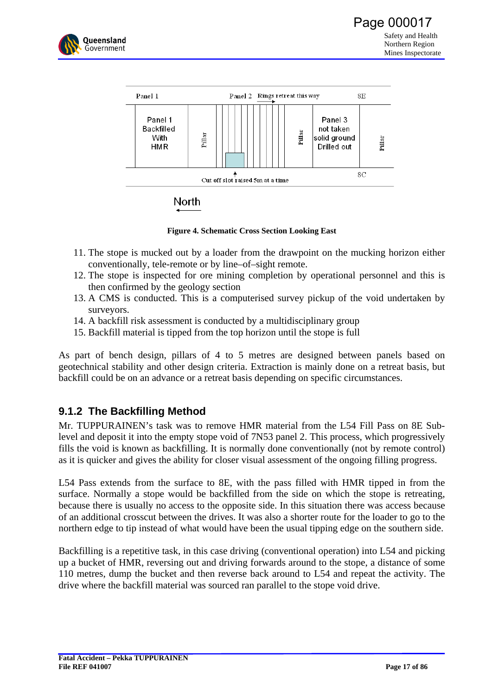



**Figure 4. Schematic Cross Section Looking East** 

- 11. The stope is mucked out by a loader from the drawpoint on the mucking horizon either conventionally, tele-remote or by line–of–sight remote.
- 12. The stope is inspected for ore mining completion by operational personnel and this is then confirmed by the geology section
- 13. A CMS is conducted. This is a computerised survey pickup of the void undertaken by surveyors.
- 14. A backfill risk assessment is conducted by a multidisciplinary group
- 15. Backfill material is tipped from the top horizon until the stope is full

As part of bench design, pillars of 4 to 5 metres are designed between panels based on geotechnical stability and other design criteria. Extraction is mainly done on a retreat basis, but backfill could be on an advance or a retreat basis depending on specific circumstances.

# **9.1.2 The Backfilling Method**

Mr. TUPPURAINEN's task was to remove HMR material from the L54 Fill Pass on 8E Sublevel and deposit it into the empty stope void of 7N53 panel 2. This process, which progressively fills the void is known as backfilling. It is normally done conventionally (not by remote control) as it is quicker and gives the ability for closer visual assessment of the ongoing filling progress.

L54 Pass extends from the surface to 8E, with the pass filled with HMR tipped in from the surface. Normally a stope would be backfilled from the side on which the stope is retreating, because there is usually no access to the opposite side. In this situation there was access because of an additional crosscut between the drives. It was also a shorter route for the loader to go to the northern edge to tip instead of what would have been the usual tipping edge on the southern side.

Backfilling is a repetitive task, in this case driving (conventional operation) into L54 and picking up a bucket of HMR, reversing out and driving forwards around to the stope, a distance of some 110 metres, dump the bucket and then reverse back around to L54 and repeat the activity. The drive where the backfill material was sourced ran parallel to the stope void drive.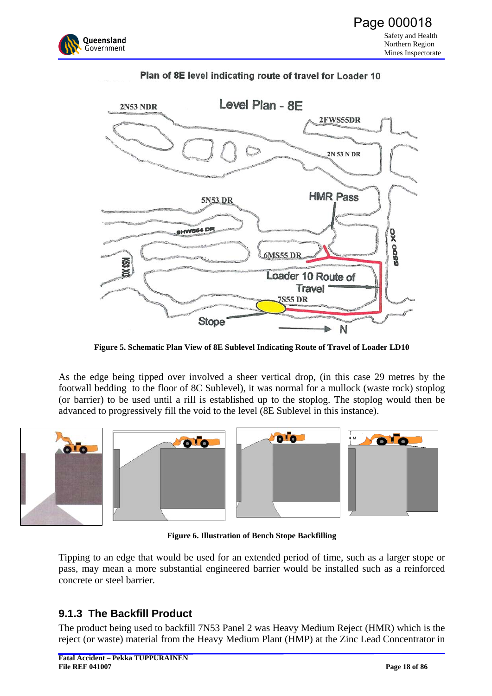



#### Plan of 8E level indicating route of travel for Loader 10

**Figure 5. Schematic Plan View of 8E Sublevel Indicating Route of Travel of Loader LD10** 

As the edge being tipped over involved a sheer vertical drop, (in this case 29 metres by the footwall bedding to the floor of 8C Sublevel), it was normal for a mullock (waste rock) stoplog (or barrier) to be used until a rill is established up to the stoplog. The stoplog would then be advanced to progressively fill the void to the level (8E Sublevel in this instance).









**Figure 6. Illustration of Bench Stope Backfilling** 

Tipping to an edge that would be used for an extended period of time, such as a larger stope or pass, may mean a more substantial engineered barrier would be installed such as a reinforced concrete or steel barrier.

# **9.1.3 The Backfill Product**

The product being used to backfill 7N53 Panel 2 was Heavy Medium Reject (HMR) which is the reject (or waste) material from the Heavy Medium Plant (HMP) at the Zinc Lead Concentrator in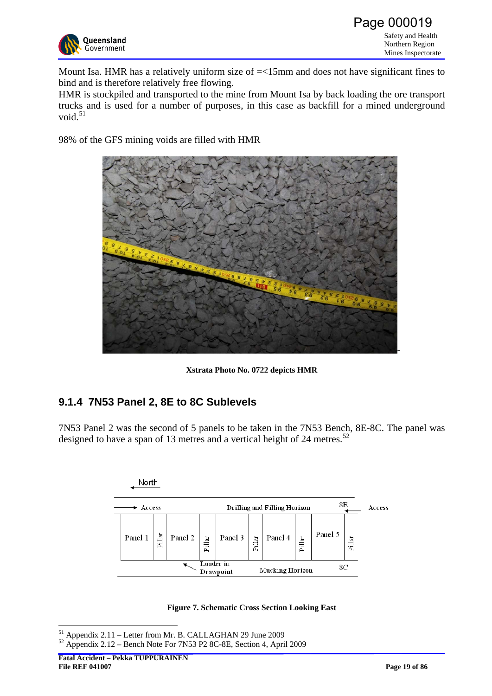<span id="page-27-0"></span>

Mount Isa. HMR has a relatively uniform size of  $=$ <15mm and does not have significant fines to bind and is therefore relatively free flowing.

HMR is stockpiled and transported to the mine from Mount Isa by back loading the ore transport trucks and is used for a number of purposes, in this case as backfill for a mined underground void. $51$ 

98% of the GFS mining voids are filled with HMR



**Xstrata Photo No. 0722 depicts HMR**

# **9.1.4 7N53 Panel 2, 8E to 8C Sublevels**

7N53 Panel 2 was the second of 5 panels to be taken in the 7N53 Bench, 8E-8C. The panel was designed to have a span of 13 metres and a vertical height of 24 metres.<sup>[5](#page-27-0)2</sup>



**Figure 7. Schematic Cross Section Looking East** 

<sup>1</sup> 51 Appendix 2.11 – Letter from Mr. B. CALLAGHAN 29 June 2009

 $52$  Appendix 2.12 – Bench Note For 7N53 P2 8C-8E, Section 4, April 2009